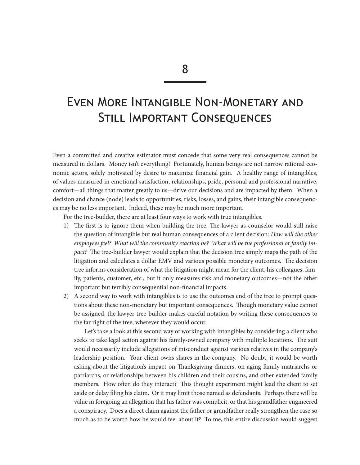# Even More Intangible Non-Monetary and Still Important Consequences

Even a committed and creative estimator must concede that some very real consequences cannot be measured in dollars. Money isn't everything! Fortunately, human beings are not narrow rational economic actors, solely motivated by desire to maximize financial gain. A healthy range of intangibles, of values measured in emotional satisfaction, relationships, pride, personal and professional narrative, comfort—all things that matter greatly to us—drive our decisions and are impacted by them. When a decision and chance (node) leads to opportunities, risks, losses, and gains, their intangible consequences may be no less important. Indeed, these may be much more important.

For the tree-builder, there are at least four ways to work with true intangibles.

- 1) The first is to ignore them when building the tree. The lawyer-as-counselor would still raise the question of intangible but real human consequences of a client decision: *How will the other employees feel? What will the community reaction be? What will be the professional or family impact?* The tree-builder lawyer would explain that the decision tree simply maps the path of the litigation and calculates a dollar EMV and various possible monetary outcomes. The decision tree informs consideration of what the litigation might mean for the client, his colleagues, family, patients, customer, etc., but it only measures risk and monetary outcomes—not the other important but terribly consequential non-financial impacts.
- 2) A second way to work with intangibles is to use the outcomes end of the tree to prompt questions about these non-monetary but important consequences. Though monetary value cannot be assigned, the lawyer tree-builder makes careful notation by writing these consequences to the far right of the tree, wherever they would occur.

Let's take a look at this second way of working with intangibles by considering a client who seeks to take legal action against his family-owned company with multiple locations. The suit would necessarily include allegations of misconduct against various relatives in the company's leadership position. Your client owns shares in the company. No doubt, it would be worth asking about the litigation's impact on Thanksgiving dinners, on aging family matriarchs or patriarchs, or relationships between his children and their cousins, and other extended family members. How often do they interact? This thought experiment might lead the client to set aside or delay filing his claim. Or it may limit those named as defendants. Perhaps there will be value in foregoing an allegation that his father was complicit, or that his grandfather engineered a conspiracy. Does a direct claim against the father or grandfather really strengthen the case so much as to be worth how he would feel about it? To me, this entire discussion would suggest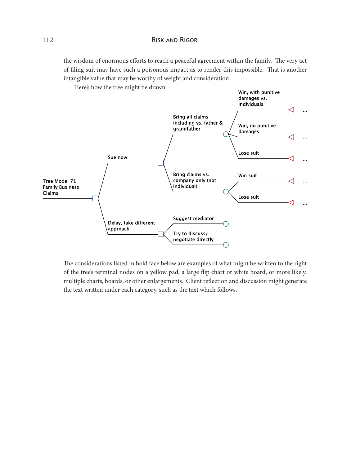# 112 Risk and Rigor

the wisdom of enormous efforts to reach a peaceful agreement within the family. The very act of filing suit may have such a poisonous impact as to render this impossible. That is another intangible value that may be worthy of weight and consideration.

Here's how the tree might be drawn.



The considerations listed in bold face below are examples of what might be written to the right of the tree's terminal nodes on a yellow pad, a large flip chart or white board, or more likely, multiple charts, boards, or other enlargements. Client reflection and discussion might generate the text written under each category, such as the text which follows.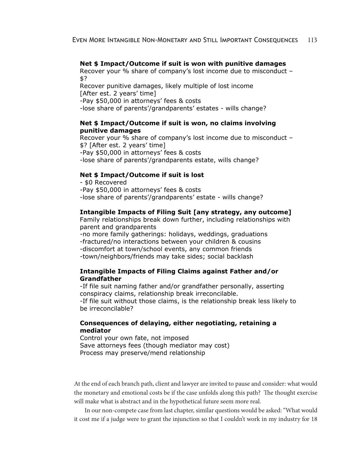#### **Net \$ Impact/Outcome if suit is won with punitive damages**

Recover your % share of company's lost income due to misconduct – \$?

Recover punitive damages, likely multiple of lost income [After est. 2 years' time]

-Pay \$50,000 in attorneys' fees & costs

-lose share of parents'/grandparents' estates - wills change?

#### **Net \$ Impact/Outcome if suit is won, no claims involving punitive damages**

Recover your % share of company's lost income due to misconduct – \$? [After est. 2 years' time] -Pay \$50,000 in attorneys' fees & costs -lose share of parents'/grandparents estate, wills change?

#### **Net \$ Impact/Outcome if suit is lost**

- \$0 Recovered -Pay \$50,000 in attorneys' fees & costs -lose share of parents'/grandparents' estate - wills change?

#### **Intangible Impacts of Filing Suit [any strategy, any outcome]**

Family relationships break down further, including relationships with parent and grandparents

-no more family gatherings: holidays, weddings, graduations -fractured/no interactions between your children & cousins -discomfort at town/school events, any common friends -town/neighbors/friends may take sides; social backlash

# **Intangible Impacts of Filing Claims against Father and/or Grandfather**

-If file suit naming father and/or grandfather personally, asserting conspiracy claims, relationship break irreconcilable. -If file suit without those claims, is the relationship break less likely to be irreconcilable?

## **Consequences of delaying, either negotiating, retaining a mediator**

Control your own fate, not imposed Save attorneys fees (though mediator may cost) Process may preserve/mend relationship

At the end of each branch path, client and lawyer are invited to pause and consider: what would the monetary and emotional costs be if the case unfolds along this path? The thought exercise will make what is abstract and in the hypothetical future seem more real.

In our non-compete case from last chapter, similar questions would be asked: "What would it cost me if a judge were to grant the injunction so that I couldn't work in my industry for 18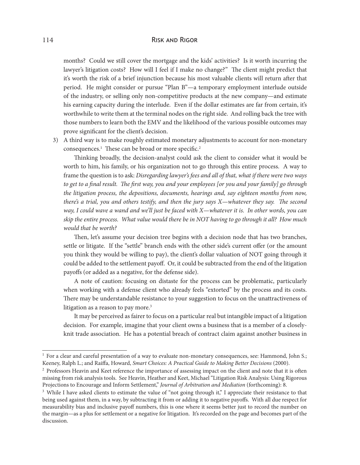#### 114 Risk and Rigor

months? Could we still cover the mortgage and the kids' activities? Is it worth incurring the lawyer's litigation costs? How will I feel if I make no change?" The client might predict that it's worth the risk of a brief injunction because his most valuable clients will return after that period. He might consider or pursue "Plan B"—a temporary employment interlude outside of the industry, or selling only non-competitive products at the new company—and estimate his earning capacity during the interlude. Even if the dollar estimates are far from certain, it's worthwhile to write them at the terminal nodes on the right side. And rolling back the tree with those numbers to learn both the EMV and the likelihood of the various possible outcomes may prove significant for the client's decision.

3) A third way is to make roughly estimated monetary adjustments to account for non-monetary consequences.<sup>1</sup> These can be broad or more specific.<sup>2</sup>

Thinking broadly, the decision-analyst could ask the client to consider what it would be worth to him, his family, or his organization not to go through this entire process. A way to frame the question is to ask: *Disregarding lawyer's fees and all of that, what if there were two ways to get to a final result. The first way, you and your employees [or you and your family] go through the litigation process, the depositions, documents, hearings and, say eighteen months from now, there's a trial, you and others testify, and then the jury says X—whatever they say. The second way, I could wave a wand and we'll just be faced with X—whatever it is. In other words, you can skip the entire process. What value would there be in NOT having to go through it all? How much would that be worth?*

Then, let's assume your decision tree begins with a decision node that has two branches, settle or litigate. If the "settle" branch ends with the other side's current offer (or the amount you think they would be willing to pay), the client's dollar valuation of NOT going through it could be added to the settlement payoff. Or, it could be subtracted from the end of the litigation payoffs (or added as a negative, for the defense side).

A note of caution: focusing on distaste for the process can be problematic, particularly when working with a defense client who already feels "extorted" by the process and its costs. There may be understandable resistance to your suggestion to focus on the unattractiveness of litigation as a reason to pay more.<sup>3</sup>

It may be perceived as fairer to focus on a particular real but intangible impact of a litigation decision. For example, imagine that your client owns a business that is a member of a closelyknit trade association. He has a potential breach of contract claim against another business in

<sup>&</sup>lt;sup>1</sup> For a clear and careful presentation of a way to evaluate non-monetary consequences, see: Hammond, John S.; Keeney, Ralph L.; and Raiffa, Howard, *Smart Choices: A Practical Guide to Making Better Decisions* (2000).

<sup>&</sup>lt;sup>2</sup> Professors Heavin and Keet reference the importance of assessing impact on the client and note that it is often missing from risk analysis tools. See Heavin, Heather and Keet, Michael "Litigation Risk Analysis: Using Rigorous Projections to Encourage and Inform Settlement," *Journal of Arbitration and Mediation* (forthcoming): 8.

<sup>&</sup>lt;sup>3</sup> While I have asked clients to estimate the value of "not going through it," I appreciate their resistance to that being used against them, in a way, by subtracting it from or adding it to negative payoffs. With all due respect for measurability bias and inclusive payoff numbers, this is one where it seems better just to record the number on the margin—as a plus for settlement or a negative for litigation. It's recorded on the page and becomes part of the discussion.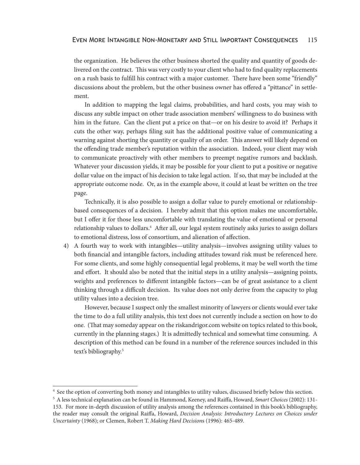the organization. He believes the other business shorted the quality and quantity of goods delivered on the contract. This was very costly to your client who had to find quality replacements on a rush basis to fulfill his contract with a major customer. There have been some "friendly" discussions about the problem, but the other business owner has offered a "pittance" in settlement.

In addition to mapping the legal claims, probabilities, and hard costs, you may wish to discuss any subtle impact on other trade association members' willingness to do business with him in the future. Can the client put a price on that—or on his desire to avoid it? Perhaps it cuts the other way, perhaps filing suit has the additional positive value of communicating a warning against shorting the quantity or quality of an order. This answer will likely depend on the offending trade member's reputation within the association. Indeed, your client may wish to communicate proactively with other members to preempt negative rumors and backlash. Whatever your discussion yields, it may be possible for your client to put a positive or negative dollar value on the impact of his decision to take legal action. If so, that may be included at the appropriate outcome node. Or, as in the example above, it could at least be written on the tree page.

Technically, it is also possible to assign a dollar value to purely emotional or relationshipbased consequences of a decision. I hereby admit that this option makes me uncomfortable, but I offer it for those less uncomfortable with translating the value of emotional or personal relationship values to dollars.<sup>4</sup> After all, our legal system routinely asks juries to assign dollars to emotional distress, loss of consortium, and alienation of affection.

4) A fourth way to work with intangibles—utility analysis—involves assigning utility values to both financial and intangible factors, including attitudes toward risk must be referenced here. For some clients, and some highly consequential legal problems, it may be well worth the time and effort. It should also be noted that the initial steps in a utility analysis—assigning points, weights and preferences to different intangible factors—can be of great assistance to a client thinking through a difficult decision. Its value does not only derive from the capacity to plug utility values into a decision tree.

However, because I suspect only the smallest minority of lawyers or clients would ever take the time to do a full utility analysis, this text does not currently include a section on how to do one. (That may someday appear on the riskandrigor.com website on topics related to this book, currently in the planning stages.) It is admittedly technical and somewhat time consuming. A description of this method can be found in a number of the reference sources included in this text's bibliography.<sup>5</sup>

<sup>&</sup>lt;sup>4</sup> See the option of converting both money and intangibles to utility values, discussed briefly below this section.

<sup>5</sup> A less technical explanation can be found in Hammond, Keeney, and Raiffa, Howard, *Smart Choices* (2002): 131- 153. For more in-depth discussion of utility analysis among the references contained in this book's bibliography, the reader may consult the original Raiffa, Howard, *Decision Analysis: Introductory Lectures on Choices under Uncertainty* (1968); or Clemen, Robert T. *Making Hard Decision*s (1996): 465-489.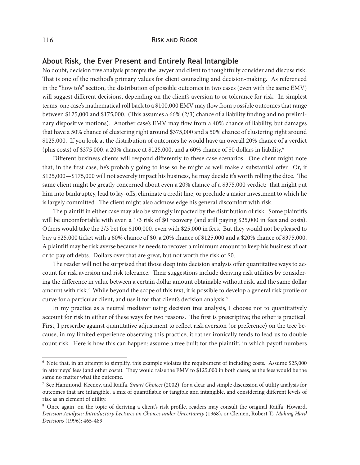## **About Risk, the Ever Present and Entirely Real Intangible**

No doubt, decision tree analysis prompts the lawyer and client to thoughtfully consider and discuss risk. That is one of the method's primary values for client counseling and decision-making. As referenced in the "how to's" section, the distribution of possible outcomes in two cases (even with the same EMV) will suggest different decisions, depending on the client's aversion to or tolerance for risk. In simplest terms, one case's mathematical roll back to a \$100,000 EMV may flow from possible outcomes that range between \$125,000 and \$175,000. (This assumes a 66% (2/3) chance of a liability finding and no preliminary dispositive motions). Another case's EMV may flow from a 40% chance of liability, but damages that have a 50% chance of clustering right around \$375,000 and a 50% chance of clustering right around \$125,000. If you look at the distribution of outcomes he would have an overall 20% chance of a verdict (plus costs) of \$375,000, a 20% chance at \$125,000, and a 60% chance of \$0 dollars in liability.6

Different business clients will respond differently to these case scenarios. One client might note that, in the first case, he's probably going to lose so he might as well make a substantial offer. Or, if \$125,000—\$175,000 will not severely impact his business, he may decide it's worth rolling the dice. The same client might be greatly concerned about even a 20% chance of a \$375,000 verdict: that might put him into bankruptcy, lead to lay-offs, eliminate a credit line, or preclude a major investment to which he is largely committed. The client might also acknowledge his general discomfort with risk.

The plaintiff in either case may also be strongly impacted by the distribution of risk. Some plaintiffs will be uncomfortable with even a 1/3 risk of \$0 recovery (and still paying \$25,000 in fees and costs). Others would take the 2/3 bet for \$100,000, even with \$25,000 in fees. But they would not be pleased to buy a \$25,000 ticket with a 60% chance of \$0, a 20% chance of \$125,000 and a \$20% chance of \$375,000. A plaintiff may be risk averse because he needs to recover a minimum amount to keep his business afloat or to pay off debts. Dollars over that are great, but not worth the risk of \$0.

The reader will not be surprised that those deep into decision analysis offer quantitative ways to account for risk aversion and risk tolerance. Their suggestions include deriving risk utilities by considering the difference in value between a certain dollar amount obtainable without risk, and the same dollar amount with risk.7 While beyond the scope of this text, it is possible to develop a general risk profile or curve for a particular client, and use it for that client's decision analysis.<sup>8</sup>

In my practice as a neutral mediator using decision tree analysis, I choose not to quantitatively account for risk in either of these ways for two reasons. The first is prescriptive; the other is practical. First, I prescribe against quantitative adjustment to reflect risk aversion (or preference) on the tree because, in my limited experience observing this practice, it rather ironically tends to lead us to double count risk. Here is how this can happen: assume a tree built for the plaintiff, in which payoff numbers

<sup>6</sup> Note that, in an attempt to simplify, this example violates the requirement of including costs. Assume \$25,000 in attorneys' fees (and other costs). They would raise the EMV to \$125,000 in both cases, as the fees would be the same no matter what the outcome.

<sup>7</sup> See Hammond, Keeney, and Raiffa, *Smart Choices* (2002), for a clear and simple discussion of utility analysis for outcomes that are intangible, a mix of quantifiable or tangible and intangible, and considering different levels of risk as an element of utility.

<sup>8</sup> Once again, on the topic of deriving a client's risk profile, readers may consult the original Raiffa, Howard, *Decision Analysis: Introductory Lectures on Choices under Uncertainty* (1968), or Clemen, Robert T., *Making Hard Decisions* (1996): 465-489.